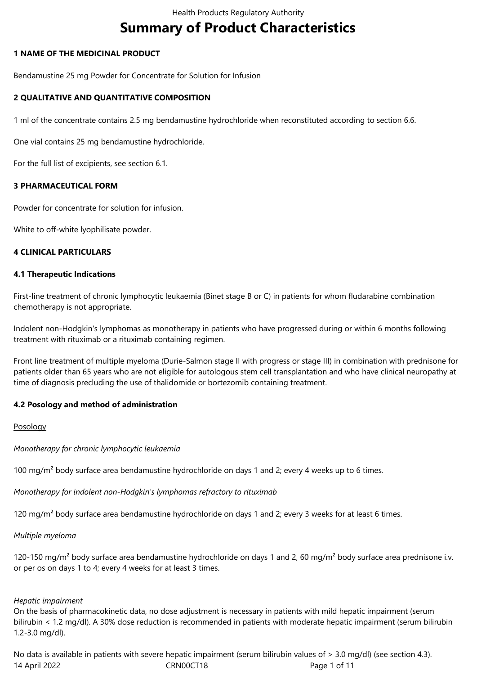# **Summary of Product Characteristics**

# **1 NAME OF THE MEDICINAL PRODUCT**

Bendamustine 25 mg Powder for Concentrate for Solution for Infusion

# **2 QUALITATIVE AND QUANTITATIVE COMPOSITION**

1 ml of the concentrate contains 2.5 mg bendamustine hydrochloride when reconstituted according to section 6.6.

One vial contains 25 mg bendamustine hydrochloride.

For the full list of excipients, see section 6.1.

# **3 PHARMACEUTICAL FORM**

Powder for concentrate for solution for infusion.

White to off-white lyophilisate powder.

# **4 CLINICAL PARTICULARS**

# **4.1 Therapeutic Indications**

First-line treatment of chronic lymphocytic leukaemia (Binet stage B or C) in patients for whom fludarabine combination chemotherapy is not appropriate.

Indolent non‑Hodgkin's lymphomas as monotherapy in patients who have progressed during or within 6 months following treatment with rituximab or a rituximab containing regimen.

Front line treatment of multiple myeloma (Durie‑Salmon stage II with progress or stage III) in combination with prednisone for patients older than 65 years who are not eligible for autologous stem cell transplantation and who have clinical neuropathy at time of diagnosis precluding the use of thalidomide or bortezomib containing treatment.

# **4.2 Posology and method of administration**

## Posology

*Monotherapy for chronic lymphocytic leukaemia* 

100 mg/m<sup>2</sup> body surface area bendamustine hydrochloride on days 1 and 2; every 4 weeks up to 6 times.

*Monotherapy for indolent non‑Hodgkin's lymphomas refractory to rituximab* 

120 mg/m<sup>2</sup> body surface area bendamustine hydrochloride on days 1 and 2; every 3 weeks for at least 6 times.

*Multiple myeloma* 

120-150 mg/m<sup>2</sup> body surface area bendamustine hydrochloride on days 1 and 2, 60 mg/m<sup>2</sup> body surface area prednisone i.v. or per os on days 1 to 4; every 4 weeks for at least 3 times.

## *Hepatic impairment*

On the basis of pharmacokinetic data, no dose adjustment is necessary in patients with mild hepatic impairment (serum bilirubin < 1.2 mg/dl). A 30% dose reduction is recommended in patients with moderate hepatic impairment (serum bilirubin 1.2‑3.0 mg/dl).

14 April 2022 CRN00CT18 Page 1 of 11 No data is available in patients with severe hepatic impairment (serum bilirubin values of > 3.0 mg/dl) (see section 4.3).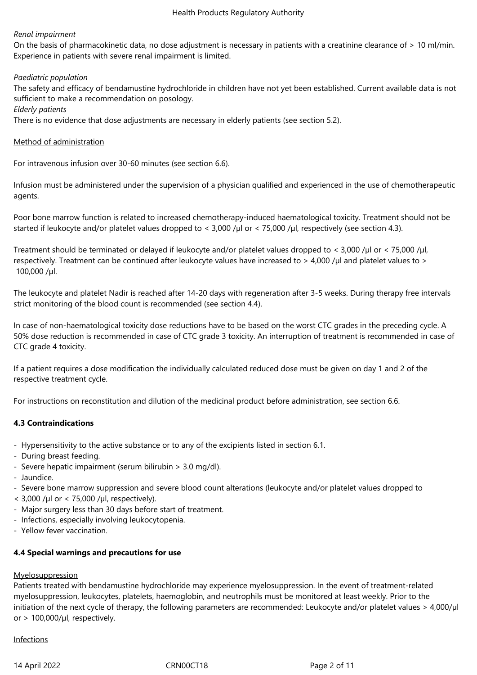# *Renal impairment*

On the basis of pharmacokinetic data, no dose adjustment is necessary in patients with a creatinine clearance of > 10 ml/min. Experience in patients with severe renal impairment is limited.

## *Paediatric population*

The safety and efficacy of bendamustine hydrochloride in children have not yet been established. Current available data is not sufficient to make a recommendation on posology.

*Elderly patients* 

There is no evidence that dose adjustments are necessary in elderly patients (see section 5.2).

# Method of administration

For intravenous infusion over 30‑60 minutes (see section 6.6).

Infusion must be administered under the supervision of a physician qualified and experienced in the use of chemotherapeutic agents.

Poor bone marrow function is related to increased chemotherapy-induced haematological toxicity. Treatment should not be started if leukocyte and/or platelet values dropped to < 3,000 /µl or < 75,000 /µl, respectively (see section 4.3).

Treatment should be terminated or delayed if leukocyte and/or platelet values dropped to < 3,000 /µl or < 75,000 /µl, respectively. Treatment can be continued after leukocyte values have increased to  $>$  4,000 /µl and platelet values to  $>$ 100,000 /µl.

The leukocyte and platelet Nadir is reached after 14‑20 days with regeneration after 3‑5 weeks. During therapy free intervals strict monitoring of the blood count is recommended (see section 4.4).

In case of non-haematological toxicity dose reductions have to be based on the worst CTC grades in the preceding cycle. A 50% dose reduction is recommended in case of CTC grade 3 toxicity. An interruption of treatment is recommended in case of CTC grade 4 toxicity.

If a patient requires a dose modification the individually calculated reduced dose must be given on day 1 and 2 of the respective treatment cycle.

For instructions on reconstitution and dilution of the medicinal product before administration, see section 6.6.

# **4.3 Contraindications**

- Hypersensitivity to the active substance or to any of the excipients listed in section 6.1.
- During breast feeding.
- Severe hepatic impairment (serum bilirubin > 3.0 mg/dl).
- Jaundice.
- Severe bone marrow suppression and severe blood count alterations (leukocyte and/or platelet values dropped to
- $<$  3,000 /µl or  $<$  75,000 /µl, respectively).
- Major surgery less than 30 days before start of treatment.
- Infections, especially involving leukocytopenia.
- Yellow fever vaccination.

## **4.4 Special warnings and precautions for use**

## **Myelosuppression**

Patients treated with bendamustine hydrochloride may experience myelosuppression. In the event of treatment-related myelosuppression, leukocytes, platelets, haemoglobin, and neutrophils must be monitored at least weekly. Prior to the initiation of the next cycle of therapy, the following parameters are recommended: Leukocyte and/or platelet values > 4,000/µl or  $> 100,000/\mu$ l, respectively.

## Infections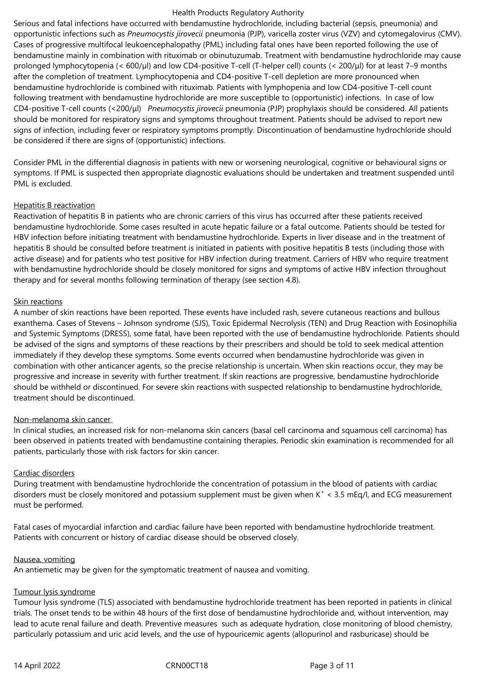Serious and fatal infections have occurred with bendamustine hydrochloride, including bacterial (sepsis, pneumonia) and opportunistic infections such as *Pneumocystis jirovecii* pneumonia (PJP), varicella zoster virus (VZV) and cytomegalovirus (CMV). Cases of progressive multifocal leukoencephalopathy (PML) including fatal ones have been reported following the use of bendamustine mainly in combination with rituximab or obinutuzumab. Treatment with bendamustine hydrochloride may cause prolonged lymphocytopenia (< 600/µl) and low CD4-positive T-cell (T-helper cell) counts (< 200/μl) for at least 7–9 months after the completion of treatment. Lymphocytopenia and CD4-positive T-cell depletion are more pronounced when bendamustine hydrochloride is combined with rituximab. Patients with lymphopenia and low CD4-positive T-cell count following treatment with bendamustine hydrochloride are more susceptible to (opportunistic) infections. In case of low CD4‑positive T‑cell counts (<200/μl) *Pneumocystis jirovecii* pneumonia (PJP) prophylaxis should be considered. All patients should be monitored for respiratory signs and symptoms throughout treatment. Patients should be advised to report new signs of infection, including fever or respiratory symptoms promptly. Discontinuation of bendamustine hydrochloride should be considered if there are signs of (opportunistic) infections.

Consider PML in the differential diagnosis in patients with new or worsening neurological, cognitive or behavioural signs or symptoms. If PML is suspected then appropriate diagnostic evaluations should be undertaken and treatment suspended until PML is excluded.

#### Hepatitis B reactivation

Reactivation of hepatitis B in patients who are chronic carriers of this virus has occurred after these patients received bendamustine hydrochloride. Some cases resulted in acute hepatic failure or a fatal outcome. Patients should be tested for HBV infection before initiating treatment with bendamustine hydrochloride. Experts in liver disease and in the treatment of hepatitis B should be consulted before treatment is initiated in patients with positive hepatitis B tests (including those with active disease) and for patients who test positive for HBV infection during treatment. Carriers of HBV who require treatment with bendamustine hydrochloride should be closely monitored for signs and symptoms of active HBV infection throughout therapy and for several months following termination of therapy (see section 4.8).

#### Skin reactions

A number of skin reactions have been reported. These events have included rash, severe cutaneous reactions and bullous exanthema. Cases of Stevens – Johnson syndrome (SJS), Toxic Epidermal Necrolysis (TEN) and Drug Reaction with Eosinophilia and Systemic Symptoms (DRESS), some fatal, have been reported with the use of bendamustine hydrochloride. Patients should be advised of the signs and symptoms of these reactions by their prescribers and should be told to seek medical attention immediately if they develop these symptoms. Some events occurred when bendamustine hydrochloride was given in combination with other anticancer agents, so the precise relationship is uncertain. When skin reactions occur, they may be progressive and increase in severity with further treatment. If skin reactions are progressive, bendamustine hydrochloride should be withheld or discontinued. For severe skin reactions with suspected relationship to bendamustine hydrochloride, treatment should be discontinued.

## Non-melanoma skin cancer

In clinical studies, an increased risk for non-melanoma skin cancers (basal cell carcinoma and squamous cell carcinoma) has been observed in patients treated with bendamustine containing therapies. Periodic skin examination is recommended for all patients, particularly those with risk factors for skin cancer.

## Cardiac disorders

During treatment with bendamustine hydrochloride the concentration of potassium in the blood of patients with cardiac disorders must be closely monitored and potassium supplement must be given when  $K^* < 3.5$  mEq/l, and ECG measurement must be performed.

Fatal cases of myocardial infarction and cardiac failure have been reported with bendamustine hydrochloride treatment. Patients with concurrent or history of cardiac disease should be observed closely.

#### Nausea, vomiting

An antiemetic may be given for the symptomatic treatment of nausea and vomiting.

# Tumour lysis syndrome

Tumour lysis syndrome (TLS) associated with bendamustine hydrochloride treatment has been reported in patients in clinical trials. The onset tends to be within 48 hours of the first dose of bendamustine hydrochloride and, without intervention, may lead to acute renal failure and death. Preventive measures such as adequate hydration, close monitoring of blood chemistry, particularly potassium and uric acid levels, and the use of hypouricemic agents (allopurinol and rasburicase) should be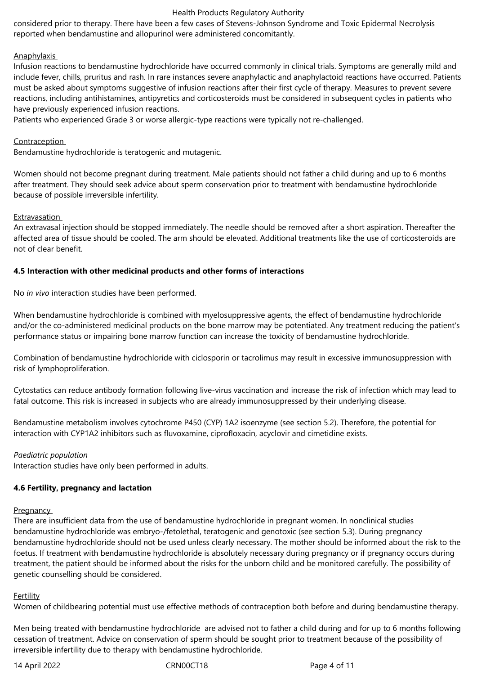considered prior to therapy. There have been a few cases of Stevens‑Johnson Syndrome and Toxic Epidermal Necrolysis reported when bendamustine and allopurinol were administered concomitantly.

# **Anaphylaxis**

Infusion reactions to bendamustine hydrochloride have occurred commonly in clinical trials. Symptoms are generally mild and include fever, chills, pruritus and rash. In rare instances severe anaphylactic and anaphylactoid reactions have occurred. Patients must be asked about symptoms suggestive of infusion reactions after their first cycle of therapy. Measures to prevent severe reactions, including antihistamines, antipyretics and corticosteroids must be considered in subsequent cycles in patients who have previously experienced infusion reactions.

Patients who experienced Grade 3 or worse allergic-type reactions were typically not re-challenged.

# Contraception

Bendamustine hydrochloride is teratogenic and mutagenic.

Women should not become pregnant during treatment. Male patients should not father a child during and up to 6 months after treatment. They should seek advice about sperm conservation prior to treatment with bendamustine hydrochloride because of possible irreversible infertility.

## Extravasation

An extravasal injection should be stopped immediately. The needle should be removed after a short aspiration. Thereafter the affected area of tissue should be cooled. The arm should be elevated. Additional treatments like the use of corticosteroids are not of clear benefit.

# **4.5 Interaction with other medicinal products and other forms of interactions**

No *in vivo* interaction studies have been performed.

When bendamustine hydrochloride is combined with myelosuppressive agents, the effect of bendamustine hydrochloride and/or the co-administered medicinal products on the bone marrow may be potentiated. Any treatment reducing the patient's performance status or impairing bone marrow function can increase the toxicity of bendamustine hydrochloride.

Combination of bendamustine hydrochloride with ciclosporin or tacrolimus may result in excessive immunosuppression with risk of lymphoproliferation.

Cytostatics can reduce antibody formation following live‑virus vaccination and increase the risk of infection which may lead to fatal outcome. This risk is increased in subjects who are already immunosuppressed by their underlying disease.

Bendamustine metabolism involves cytochrome P450 (CYP) 1A2 isoenzyme (see section 5.2). Therefore, the potential for interaction with CYP1A2 inhibitors such as fluvoxamine, ciprofloxacin, acyclovir and cimetidine exists.

## *Paediatric population*

Interaction studies have only been performed in adults.

# **4.6 Fertility, pregnancy and lactation**

## **Pregnancy**

There are insufficient data from the use of bendamustine hydrochloride in pregnant women. In nonclinical studies bendamustine hydrochloride was embryo-/fetolethal, teratogenic and genotoxic (see section 5.3). During pregnancy bendamustine hydrochloride should not be used unless clearly necessary. The mother should be informed about the risk to the foetus. If treatment with bendamustine hydrochloride is absolutely necessary during pregnancy or if pregnancy occurs during treatment, the patient should be informed about the risks for the unborn child and be monitored carefully. The possibility of genetic counselling should be considered.

## Fertility

Women of childbearing potential must use effective methods of contraception both before and during bendamustine therapy.

Men being treated with bendamustine hydrochloride are advised not to father a child during and for up to 6 months following cessation of treatment. Advice on conservation of sperm should be sought prior to treatment because of the possibility of irreversible infertility due to therapy with bendamustine hydrochloride.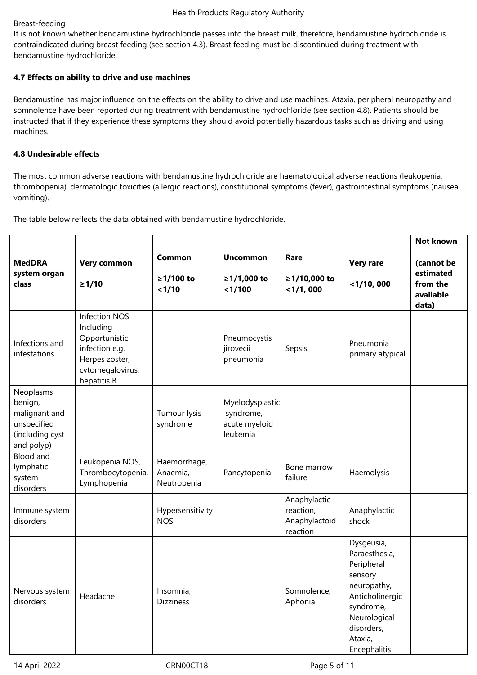# Breast-feeding

It is not known whether bendamustine hydrochloride passes into the breast milk, therefore, bendamustine hydrochloride is contraindicated during breast feeding (see section 4.3). Breast feeding must be discontinued during treatment with bendamustine hydrochloride.

# **4.7 Effects on ability to drive and use machines**

Bendamustine has major influence on the effects on the ability to drive and use machines. Ataxia, peripheral neuropathy and somnolence have been reported during treatment with bendamustine hydrochloride (see section 4.8). Patients should be instructed that if they experience these symptoms they should avoid potentially hazardous tasks such as driving and using machines.

# **4.8 Undesirable effects**

The most common adverse reactions with bendamustine hydrochloride are haematological adverse reactions (leukopenia, thrombopenia), dermatologic toxicities (allergic reactions), constitutional symptoms (fever), gastrointestinal symptoms (nausea, vomiting).

The table below reflects the data obtained with bendamustine hydrochloride.

| <b>MedDRA</b><br>system organ<br>class                                                | Very common<br>$\geq 1/10$                                                                                                | Common<br>≥1/100 to<br>1/10             | <b>Uncommon</b><br>≥1/1,000 to<br>< 1/100                 | Rare<br>≥1/10,000 to<br>$<$ 1/1,000                    | <b>Very rare</b><br>$<$ 1/10, 000                                                                                                                            | <b>Not known</b><br>(cannot be<br>estimated<br>from the<br>available<br>data) |
|---------------------------------------------------------------------------------------|---------------------------------------------------------------------------------------------------------------------------|-----------------------------------------|-----------------------------------------------------------|--------------------------------------------------------|--------------------------------------------------------------------------------------------------------------------------------------------------------------|-------------------------------------------------------------------------------|
| Infections and<br>infestations                                                        | <b>Infection NOS</b><br>Including<br>Opportunistic<br>infection e.g.<br>Herpes zoster,<br>cytomegalovirus,<br>hepatitis B |                                         | Pneumocystis<br>jirovecii<br>pneumonia                    | Sepsis                                                 | Pneumonia<br>primary atypical                                                                                                                                |                                                                               |
| Neoplasms<br>benign,<br>malignant and<br>unspecified<br>(including cyst<br>and polyp) |                                                                                                                           | Tumour lysis<br>syndrome                | Myelodysplastic<br>syndrome,<br>acute myeloid<br>leukemia |                                                        |                                                                                                                                                              |                                                                               |
| <b>Blood and</b><br>lymphatic<br>system<br>disorders                                  | Leukopenia NOS,<br>Thrombocytopenia,<br>Lymphopenia                                                                       | Haemorrhage,<br>Anaemia,<br>Neutropenia | Pancytopenia                                              | Bone marrow<br>failure                                 | Haemolysis                                                                                                                                                   |                                                                               |
| Immune system<br>disorders                                                            |                                                                                                                           | Hypersensitivity<br><b>NOS</b>          |                                                           | Anaphylactic<br>reaction,<br>Anaphylactoid<br>reaction | Anaphylactic<br>shock                                                                                                                                        |                                                                               |
| Nervous system<br>disorders                                                           | Headache                                                                                                                  | Insomnia,<br><b>Dizziness</b>           |                                                           | Somnolence,<br>Aphonia                                 | Dysgeusia,<br>Paraesthesia,<br>Peripheral<br>sensory<br>neuropathy,<br>Anticholinergic<br>syndrome,<br>Neurological<br>disorders,<br>Ataxia,<br>Encephalitis |                                                                               |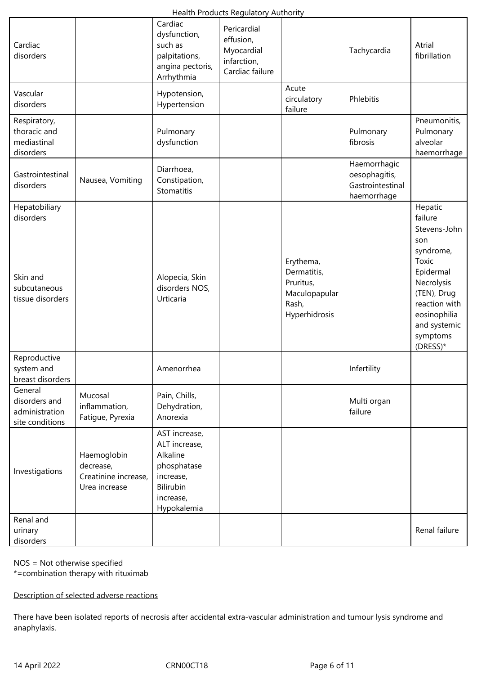| Cardiac<br>disorders                                          |                                                                   | Cardiac<br>dysfunction,<br>such as<br>palpitations,<br>angina pectoris,<br>Arrhythmia                           | Pericardial<br>effusion,<br>Myocardial<br>infarction,<br>Cardiac failure |                                                                                  | Tachycardia                                                      | Atrial<br>fibrillation                                                                                                                                       |
|---------------------------------------------------------------|-------------------------------------------------------------------|-----------------------------------------------------------------------------------------------------------------|--------------------------------------------------------------------------|----------------------------------------------------------------------------------|------------------------------------------------------------------|--------------------------------------------------------------------------------------------------------------------------------------------------------------|
| Vascular<br>disorders                                         |                                                                   | Hypotension,<br>Hypertension                                                                                    |                                                                          | Acute<br>circulatory<br>failure                                                  | Phlebitis                                                        |                                                                                                                                                              |
| Respiratory,<br>thoracic and<br>mediastinal<br>disorders      |                                                                   | Pulmonary<br>dysfunction                                                                                        |                                                                          |                                                                                  | Pulmonary<br>fibrosis                                            | Pneumonitis,<br>Pulmonary<br>alveolar<br>haemorrhage                                                                                                         |
| Gastrointestinal<br>disorders                                 | Nausea, Vomiting                                                  | Diarrhoea,<br>Constipation,<br>Stomatitis                                                                       |                                                                          |                                                                                  | Haemorrhagic<br>oesophagitis,<br>Gastrointestinal<br>haemorrhage |                                                                                                                                                              |
| Hepatobiliary<br>disorders                                    |                                                                   |                                                                                                                 |                                                                          |                                                                                  |                                                                  | Hepatic<br>failure                                                                                                                                           |
| Skin and<br>subcutaneous<br>tissue disorders                  |                                                                   | Alopecia, Skin<br>disorders NOS,<br>Urticaria                                                                   |                                                                          | Erythema,<br>Dermatitis,<br>Pruritus,<br>Maculopapular<br>Rash,<br>Hyperhidrosis |                                                                  | Stevens-John<br>son<br>syndrome,<br>Toxic<br>Epidermal<br>Necrolysis<br>(TEN), Drug<br>reaction with<br>eosinophilia<br>and systemic<br>symptoms<br>(DRESS)* |
| Reproductive<br>system and<br>breast disorders                |                                                                   | Amenorrhea                                                                                                      |                                                                          |                                                                                  | Infertility                                                      |                                                                                                                                                              |
| General<br>disorders and<br>administration<br>site conditions | Mucosal<br>inflammation,<br>Fatigue, Pyrexia                      | Pain, Chills,<br>Dehydration,<br>Anorexia                                                                       |                                                                          |                                                                                  | Multi organ<br>failure                                           |                                                                                                                                                              |
| Investigations                                                | Haemoglobin<br>decrease,<br>Creatinine increase,<br>Urea increase | AST increase,<br>ALT increase,<br>Alkaline<br>phosphatase<br>increase,<br>Bilirubin<br>increase,<br>Hypokalemia |                                                                          |                                                                                  |                                                                  |                                                                                                                                                              |
| Renal and<br>urinary<br>disorders                             |                                                                   |                                                                                                                 |                                                                          |                                                                                  |                                                                  | Renal failure                                                                                                                                                |

NOS = Not otherwise specified

\*=combination therapy with rituximab

Description of selected adverse reactions

There have been isolated reports of necrosis after accidental extra-vascular administration and tumour lysis syndrome and anaphylaxis.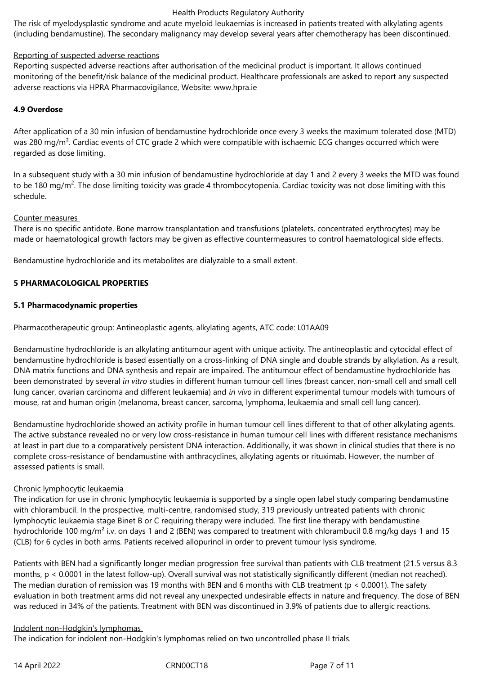The risk of myelodysplastic syndrome and acute myeloid leukaemias is increased in patients treated with alkylating agents (including bendamustine). The secondary malignancy may develop several years after chemotherapy has been discontinued.

# Reporting of suspected adverse reactions

Reporting suspected adverse reactions after authorisation of the medicinal product is important. It allows continued monitoring of the benefit/risk balance of the medicinal product. Healthcare professionals are asked to report any suspected adverse reactions via HPRA Pharmacovigilance, Website: www.hpra.ie

# **4.9 Overdose**

After application of a 30 min infusion of bendamustine hydrochloride once every 3 weeks the maximum tolerated dose (MTD) was 280 mg/m<sup>2</sup>. Cardiac events of CTC grade 2 which were compatible with ischaemic ECG changes occurred which were regarded as dose limiting.

In a subsequent study with a 30 min infusion of bendamustine hydrochloride at day 1 and 2 every 3 weeks the MTD was found to be 180 mg/m<sup>2</sup>. The dose limiting toxicity was grade 4 thrombocytopenia. Cardiac toxicity was not dose limiting with this schedule.

## Counter measures

There is no specific antidote. Bone marrow transplantation and transfusions (platelets, concentrated erythrocytes) may be made or haematological growth factors may be given as effective countermeasures to control haematological side effects.

Bendamustine hydrochloride and its metabolites are dialyzable to a small extent.

# **5 PHARMACOLOGICAL PROPERTIES**

## **5.1 Pharmacodynamic properties**

Pharmacotherapeutic group: Antineoplastic agents, alkylating agents, ATC code: L01AA09

Bendamustine hydrochloride is an alkylating antitumour agent with unique activity. The antineoplastic and cytocidal effect of bendamustine hydrochloride is based essentially on a cross-linking of DNA single and double strands by alkylation. As a result, DNA matrix functions and DNA synthesis and repair are impaired. The antitumour effect of bendamustine hydrochloride has been demonstrated by several *in vitro* studies in different human tumour cell lines (breast cancer, non-small cell and small cell lung cancer, ovarian carcinoma and different leukaemia) and *in vivo* in different experimental tumour models with tumours of mouse, rat and human origin (melanoma, breast cancer, sarcoma, lymphoma, leukaemia and small cell lung cancer).

Bendamustine hydrochloride showed an activity profile in human tumour cell lines different to that of other alkylating agents. The active substance revealed no or very low cross-resistance in human tumour cell lines with different resistance mechanisms at least in part due to a comparatively persistent DNA interaction. Additionally, it was shown in clinical studies that there is no complete cross-resistance of bendamustine with anthracyclines, alkylating agents or rituximab. However, the number of assessed patients is small.

## Chronic lymphocytic leukaemia

The indication for use in chronic lymphocytic leukaemia is supported by a single open label study comparing bendamustine with chlorambucil. In the prospective, multi-centre, randomised study, 319 previously untreated patients with chronic lymphocytic leukaemia stage Binet B or C requiring therapy were included. The first line therapy with bendamustine hydrochloride 100 mg/m<sup>2</sup> i.v. on days 1 and 2 (BEN) was compared to treatment with chlorambucil 0.8 mg/kg days 1 and 15 (CLB) for 6 cycles in both arms. Patients received allopurinol in order to prevent tumour lysis syndrome.

Patients with BEN had a significantly longer median progression free survival than patients with CLB treatment (21.5 versus 8.3 months,  $p < 0.0001$  in the latest follow-up). Overall survival was not statistically significantly different (median not reached). The median duration of remission was 19 months with BEN and 6 months with CLB treatment ( $p < 0.0001$ ). The safety evaluation in both treatment arms did not reveal any unexpected undesirable effects in nature and frequency. The dose of BEN was reduced in 34% of the patients. Treatment with BEN was discontinued in 3.9% of patients due to allergic reactions.

## Indolent non‑Hodgkin's lymphomas

The indication for indolent non-Hodgkin's lymphomas relied on two uncontrolled phase II trials.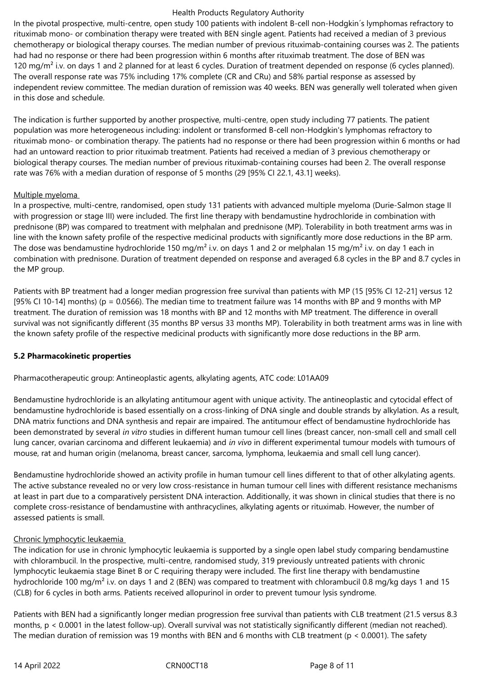In the pivotal prospective, multi-centre, open study 100 patients with indolent B-cell non-Hodgkin's lymphomas refractory to rituximab mono- or combination therapy were treated with BEN single agent. Patients had received a median of 3 previous chemotherapy or biological therapy courses. The median number of previous rituximab‑containing courses was 2. The patients had had no response or there had been progression within 6 months after rituximab treatment. The dose of BEN was 120 mg/m<sup>2</sup> i.v. on days 1 and 2 planned for at least 6 cycles. Duration of treatment depended on response (6 cycles planned). The overall response rate was 75% including 17% complete (CR and CRu) and 58% partial response as assessed by independent review committee. The median duration of remission was 40 weeks. BEN was generally well tolerated when given in this dose and schedule.

The indication is further supported by another prospective, multi-centre, open study including 77 patients. The patient population was more heterogeneous including: indolent or transformed B‑cell non‑Hodgkin's lymphomas refractory to rituximab mono- or combination therapy. The patients had no response or there had been progression within 6 months or had had an untoward reaction to prior rituximab treatment. Patients had received a median of 3 previous chemotherapy or biological therapy courses. The median number of previous rituximab‑containing courses had been 2. The overall response rate was 76% with a median duration of response of 5 months (29 [95% CI 22.1, 43.1] weeks).

# Multiple myeloma

In a prospective, multi-centre, randomised, open study 131 patients with advanced multiple myeloma (Durie-Salmon stage II with progression or stage III) were included. The first line therapy with bendamustine hydrochloride in combination with prednisone (BP) was compared to treatment with melphalan and prednisone (MP). Tolerability in both treatment arms was in line with the known safety profile of the respective medicinal products with significantly more dose reductions in the BP arm. The dose was bendamustine hydrochloride 150 mg/m<sup>2</sup> i.v. on days 1 and 2 or melphalan 15 mg/m<sup>2</sup> i.v. on day 1 each in combination with prednisone. Duration of treatment depended on response and averaged 6.8 cycles in the BP and 8.7 cycles in the MP group.

Patients with BP treatment had a longer median progression free survival than patients with MP (15 [95% CI 12‑21] versus 12 [95% CI 10-14] months) ( $p = 0.0566$ ). The median time to treatment failure was 14 months with BP and 9 months with MP treatment. The duration of remission was 18 months with BP and 12 months with MP treatment. The difference in overall survival was not significantly different (35 months BP versus 33 months MP). Tolerability in both treatment arms was in line with the known safety profile of the respective medicinal products with significantly more dose reductions in the BP arm.

## **5.2 Pharmacokinetic properties**

Pharmacotherapeutic group: Antineoplastic agents, alkylating agents, ATC code: L01AA09

Bendamustine hydrochloride is an alkylating antitumour agent with unique activity. The antineoplastic and cytocidal effect of bendamustine hydrochloride is based essentially on a cross-linking of DNA single and double strands by alkylation. As a result, DNA matrix functions and DNA synthesis and repair are impaired. The antitumour effect of bendamustine hydrochloride has been demonstrated by several *in vitro* studies in different human tumour cell lines (breast cancer, non-small cell and small cell lung cancer, ovarian carcinoma and different leukaemia) and *in vivo* in different experimental tumour models with tumours of mouse, rat and human origin (melanoma, breast cancer, sarcoma, lymphoma, leukaemia and small cell lung cancer).

Bendamustine hydrochloride showed an activity profile in human tumour cell lines different to that of other alkylating agents. The active substance revealed no or very low cross-resistance in human tumour cell lines with different resistance mechanisms at least in part due to a comparatively persistent DNA interaction. Additionally, it was shown in clinical studies that there is no complete cross-resistance of bendamustine with anthracyclines, alkylating agents or rituximab. However, the number of assessed patients is small.

# Chronic lymphocytic leukaemia

The indication for use in chronic lymphocytic leukaemia is supported by a single open label study comparing bendamustine with chlorambucil. In the prospective, multi-centre, randomised study, 319 previously untreated patients with chronic lymphocytic leukaemia stage Binet B or C requiring therapy were included. The first line therapy with bendamustine hydrochloride 100 mg/m<sup>2</sup> i.v. on days 1 and 2 (BEN) was compared to treatment with chlorambucil 0.8 mg/kg days 1 and 15 (CLB) for 6 cycles in both arms. Patients received allopurinol in order to prevent tumour lysis syndrome.

Patients with BEN had a significantly longer median progression free survival than patients with CLB treatment (21.5 versus 8.3 months,  $p < 0.0001$  in the latest follow-up). Overall survival was not statistically significantly different (median not reached). The median duration of remission was 19 months with BEN and 6 months with CLB treatment (p < 0.0001). The safety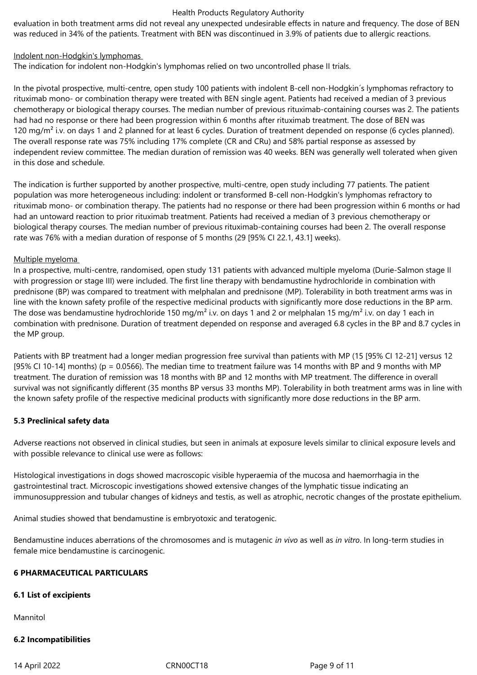evaluation in both treatment arms did not reveal any unexpected undesirable effects in nature and frequency. The dose of BEN was reduced in 34% of the patients. Treatment with BEN was discontinued in 3.9% of patients due to allergic reactions.

### Indolent non‑Hodgkin's lymphomas

The indication for indolent non-Hodgkin's lymphomas relied on two uncontrolled phase II trials.

In the pivotal prospective, multi-centre, open study 100 patients with indolent B-cell non-Hodgkin's lymphomas refractory to rituximab mono- or combination therapy were treated with BEN single agent. Patients had received a median of 3 previous chemotherapy or biological therapy courses. The median number of previous rituximab‑containing courses was 2. The patients had had no response or there had been progression within 6 months after rituximab treatment. The dose of BEN was 120 mg/m<sup>2</sup> i.v. on days 1 and 2 planned for at least 6 cycles. Duration of treatment depended on response (6 cycles planned). The overall response rate was 75% including 17% complete (CR and CRu) and 58% partial response as assessed by independent review committee. The median duration of remission was 40 weeks. BEN was generally well tolerated when given in this dose and schedule.

The indication is further supported by another prospective, multi-centre, open study including 77 patients. The patient population was more heterogeneous including: indolent or transformed B‑cell non‑Hodgkin's lymphomas refractory to rituximab mono- or combination therapy. The patients had no response or there had been progression within 6 months or had had an untoward reaction to prior rituximab treatment. Patients had received a median of 3 previous chemotherapy or biological therapy courses. The median number of previous rituximab‑containing courses had been 2. The overall response rate was 76% with a median duration of response of 5 months (29 [95% CI 22.1, 43.1] weeks).

## Multiple myeloma

In a prospective, multi-centre, randomised, open study 131 patients with advanced multiple myeloma (Durie-Salmon stage II with progression or stage III) were included. The first line therapy with bendamustine hydrochloride in combination with prednisone (BP) was compared to treatment with melphalan and prednisone (MP). Tolerability in both treatment arms was in line with the known safety profile of the respective medicinal products with significantly more dose reductions in the BP arm. The dose was bendamustine hydrochloride 150 mg/m<sup>2</sup> i.v. on days 1 and 2 or melphalan 15 mg/m<sup>2</sup> i.v. on day 1 each in combination with prednisone. Duration of treatment depended on response and averaged 6.8 cycles in the BP and 8.7 cycles in the MP group.

Patients with BP treatment had a longer median progression free survival than patients with MP (15 [95% CI 12‑21] versus 12 [95% CI 10-14] months) ( $p = 0.0566$ ). The median time to treatment failure was 14 months with BP and 9 months with MP treatment. The duration of remission was 18 months with BP and 12 months with MP treatment. The difference in overall survival was not significantly different (35 months BP versus 33 months MP). Tolerability in both treatment arms was in line with the known safety profile of the respective medicinal products with significantly more dose reductions in the BP arm.

## **5.3 Preclinical safety data**

Adverse reactions not observed in clinical studies, but seen in animals at exposure levels similar to clinical exposure levels and with possible relevance to clinical use were as follows:

Histological investigations in dogs showed macroscopic visible hyperaemia of the mucosa and haemorrhagia in the gastrointestinal tract. Microscopic investigations showed extensive changes of the lymphatic tissue indicating an immunosuppression and tubular changes of kidneys and testis, as well as atrophic, necrotic changes of the prostate epithelium.

Animal studies showed that bendamustine is embryotoxic and teratogenic.

Bendamustine induces aberrations of the chromosomes and is mutagenic *in vivo* as well as *in vitro*. In long-term studies in female mice bendamustine is carcinogenic.

## **6 PHARMACEUTICAL PARTICULARS**

## **6.1 List of excipients**

Mannitol

## **6.2 Incompatibilities**

14 April 2022 CRN00CT18 Page 9 of 11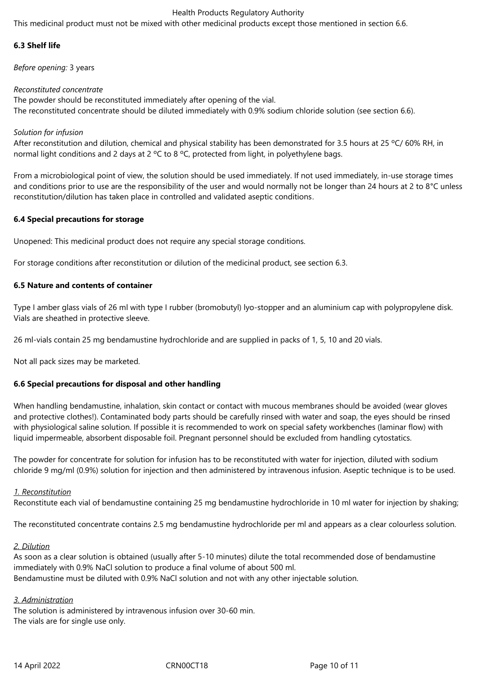This medicinal product must not be mixed with other medicinal products except those mentioned in section 6.6.

# **6.3 Shelf life**

*Before opening:* 3 years

# *Reconstituted concentrate*

The powder should be reconstituted immediately after opening of the vial. The reconstituted concentrate should be diluted immediately with 0.9% sodium chloride solution (see section 6.6).

# *Solution for infusion*

After reconstitution and dilution, chemical and physical stability has been demonstrated for 3.5 hours at 25 °C/ 60% RH, in normal light conditions and 2 days at 2 °C to 8 °C, protected from light, in polyethylene bags.

From a microbiological point of view, the solution should be used immediately. If not used immediately, in-use storage times and conditions prior to use are the responsibility of the user and would normally not be longer than 24 hours at 2 to 8°C unless reconstitution/dilution has taken place in controlled and validated aseptic conditions.

# **6.4 Special precautions for storage**

Unopened: This medicinal product does not require any special storage conditions.

For storage conditions after reconstitution or dilution of the medicinal product, see section 6.3.

# **6.5 Nature and contents of container**

Type I amber glass vials of 26 ml with type I rubber (bromobutyl) lyo-stopper and an aluminium cap with polypropylene disk. Vials are sheathed in protective sleeve.

26 ml-vials contain 25 mg bendamustine hydrochloride and are supplied in packs of 1, 5, 10 and 20 vials.

Not all pack sizes may be marketed.

# **6.6 Special precautions for disposal and other handling**

When handling bendamustine, inhalation, skin contact or contact with mucous membranes should be avoided (wear gloves and protective clothes!). Contaminated body parts should be carefully rinsed with water and soap, the eyes should be rinsed with physiological saline solution. If possible it is recommended to work on special safety workbenches (laminar flow) with liquid impermeable, absorbent disposable foil. Pregnant personnel should be excluded from handling cytostatics.

The powder for concentrate for solution for infusion has to be reconstituted with water for injection, diluted with sodium chloride 9 mg/ml (0.9%) solution for injection and then administered by intravenous infusion. Aseptic technique is to be used.

# *1. Reconstitution*

Reconstitute each vial of bendamustine containing 25 mg bendamustine hydrochloride in 10 ml water for injection by shaking;

The reconstituted concentrate contains 2.5 mg bendamustine hydrochloride per ml and appears as a clear colourless solution.

## *2. Dilution*

As soon as a clear solution is obtained (usually after 5-10 minutes) dilute the total recommended dose of bendamustine immediately with 0.9% NaCl solution to produce a final volume of about 500 ml. Bendamustine must be diluted with 0.9% NaCl solution and not with any other injectable solution.

## *3. Administration*

The solution is administered by intravenous infusion over 30-60 min. The vials are for single use only.